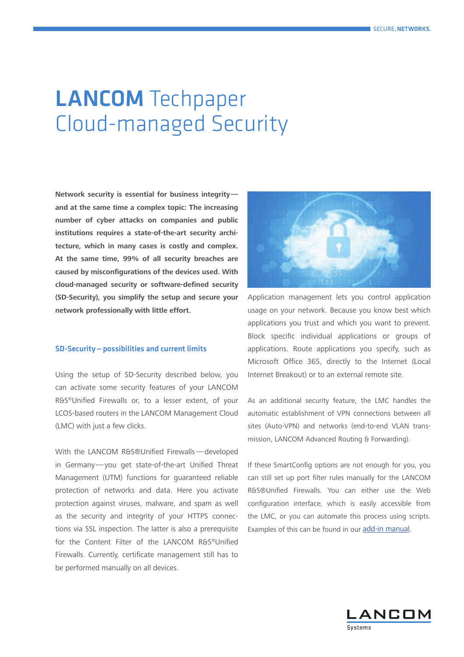# LANCOM Techpaper Cloud-managed Security

**Network security is essential for business integrity and at the same time a complex topic: The increasing number of cyber attacks on companies and public institutions requires a state-of-the-art security architecture, which in many cases is costly and complex. At the same time, 99% of all security breaches are caused by misconfigurations of the devices used. With cloud-managed security or software-defined security (SD-Security), you simplify the setup and secure your network professionally with little effort.**

## SD-Security—possibilities and current limits

Using the setup of SD-Security described below, you can activate some security features of your LANCOM R&S®Unified Firewalls or, to a lesser extent, of your LCOS-based routers in the LANCOM Management Cloud (LMC) with just a few clicks.

With the LANCOM R&S®Unified Firewalls—developed in Germany—you get state-of-the-art Unified Threat Management (UTM) functions for guaranteed reliable protection of networks and data. Here you activate protection against viruses, malware, and spam as well as the security and integrity of your HTTPS connections via SSL inspection. The latter is also a prerequisite for the Content Filter of the LANCOM R&S®Unified Firewalls. Currently, certificate management still has to be performed manually on all devices.



Application management lets you control application usage on your network. Because you know best which applications you trust and which you want to prevent. Block specific individual applications or groups of applications. Route applications you specify, such as Microsoft Office 365, directly to the Internet (Local Internet Breakout) or to an external remote site.

As an additional security feature, the LMC handles the automatic establishment of VPN connections between all sites (Auto-VPN) and networks (end-to-end VLAN transmission, LANCOM Advanced Routing & Forwarding).

If these SmartConfig options are not enough for you, you can still set up port filter rules manually for the LANCOM R&S®Unified Firewalls. You can either use the Web configuration interface, which is easily accessible from the LMC, or you can automate this process using scripts. Examples of this can be found in our [add-in manual.](https://www.lancom-systems.com/docs/lmc/scripting/)

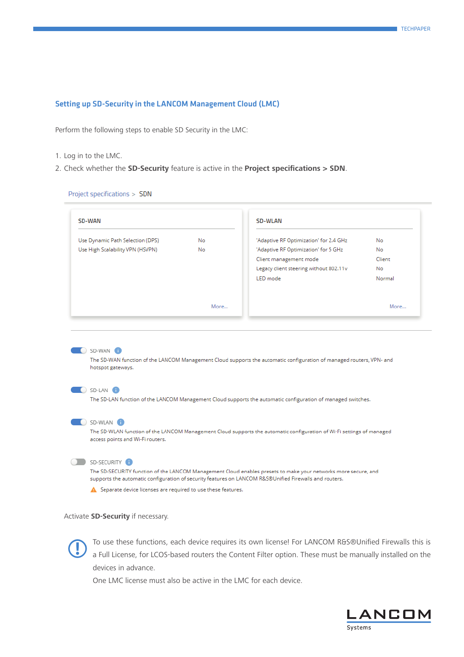## Setting up SD-Security in the LANCOM Management Cloud (LMC)

Perform the following steps to enable SD Security in the LMC:

- 1. Log in to the LMC.
- 2. Check whether the **SD-Security** feature is active in the **Project specifications > SDN**.

Project specifications > SDN

| <b>SD-WAN</b>                    |           | <b>SD-WLAN</b>                                                                                                       |        |
|----------------------------------|-----------|----------------------------------------------------------------------------------------------------------------------|--------|
| Use Dynamic Path Selection (DPS) | No        | 'Adaptive RF Optimization' for 2.4 GHz                                                                               | No     |
| Use High Scalability VPN (HSVPN) | <b>No</b> | 'Adaptive RF Optimization' for 5 GHz                                                                                 | No     |
|                                  |           | Client management mode                                                                                               | Client |
|                                  |           | Legacy client steering without 802.11v                                                                               | No     |
|                                  |           | LED mode                                                                                                             | Normal |
|                                  |           |                                                                                                                      |        |
|                                  | More      |                                                                                                                      | More   |
|                                  |           |                                                                                                                      |        |
| SD-WAN<br>hotspot gateways.      |           | The SD-WAN function of the LANCOM Management Cloud supports the automatic configuration of managed routers, VPN- and |        |
| $\bigcirc$ SD-LAN                |           | The SD-LAN function of the LANCOM Management Cloud supports the automatic configuration of managed switches.         |        |

#### SD-SECURITY <sup>1</sup>

The SD-SECURITY function of the LANCOM Management Cloud enables presets to make your networks more secure, and supports the automatic configuration of security features on LANCOM R&S®Unified Firewalls and routers.

A Separate device licenses are required to use these features.

## Activate **SD-Security** if necessary.



To use these functions, each device requires its own license! For LANCOM R&S®Unified Firewalls this is a Full License, for LCOS-based routers the Content Filter option. These must be manually installed on the devices in ad a Full License, for LCOS-based routers the Content Filter option. These must be manually installed on the devices in advance.

One LMC license must also be active in the LMC for each device.

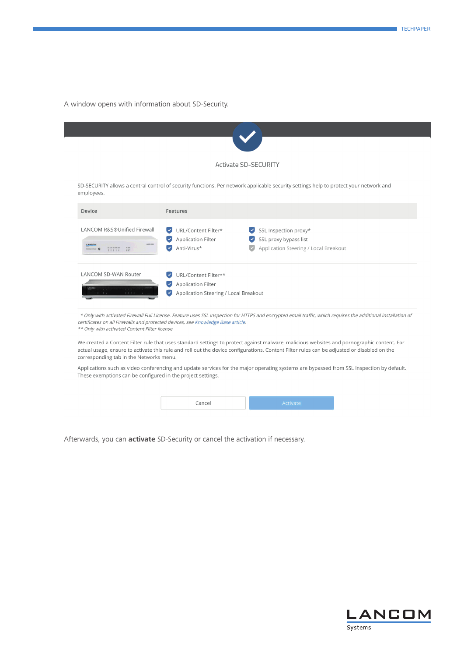A window opens with information about SD-Security.

|                                  |                                                               | <b>Activate SD-SECURITY</b>                                                                                                           |
|----------------------------------|---------------------------------------------------------------|---------------------------------------------------------------------------------------------------------------------------------------|
|                                  |                                                               | SD-SECURITY allows a central control of security functions. Per network applicable security settings help to protect your network and |
| employees.                       |                                                               |                                                                                                                                       |
| Device                           | Features                                                      |                                                                                                                                       |
|                                  |                                                               |                                                                                                                                       |
| LANCOM R&S®Unified Firewall      | URL/Content Filter*<br>$\blacktriangledown$                   | SSL Inspection proxy*                                                                                                                 |
| <b>LANCING OF 26</b>             | Application Filter<br>$\blacktriangledown$                    | SSL proxy bypass list<br>$\blacktriangledown$                                                                                         |
| LANCOM<br>$\frac{1}{2}$<br>77777 | Anti-Virus*<br>$\checkmark$                                   | Application Steering / Local Breakout                                                                                                 |
| <b>LANCOM SD-WAN Router</b>      | URL/Content Filter**                                          |                                                                                                                                       |
|                                  | <b>Application Filter</b><br>$\blacktriangledown$             |                                                                                                                                       |
| 日本 8 8 .                         | Application Steering / Local Breakout<br>$\blacktriangledown$ |                                                                                                                                       |

certificates on all Firewalls and protected devices, see Knowledge Base article. \*\* Only with activated Content Filter license

We created a Content Filter rule that uses standard settings to protect against malware, malicious websites and pornographic content. For actual usage, ensure to activate this rule and roll out the device configurations. Content Filter rules can be adjusted or disabled on the corresponding tab in the Networks menu.

Applications such as video conferencing and update services for the major operating systems are bypassed from SSL Inspection by default. These exemptions can be configured in the project settings.

| Cance | ACTIVATA |
|-------|----------|
|       |          |

Afterwards, you can **activate** SD-Security or cancel the activation if necessary.

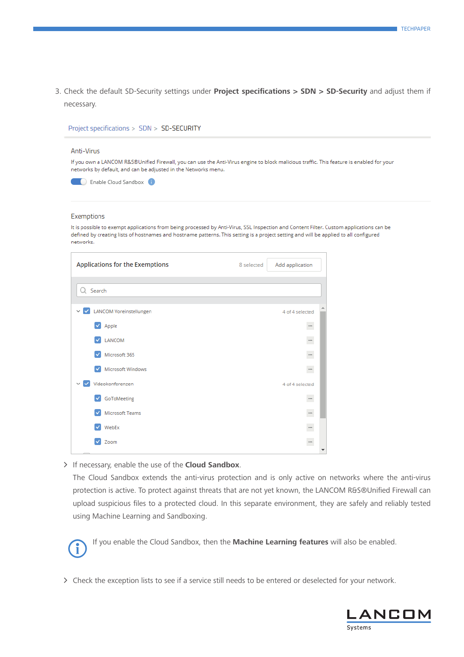3. Check the default SD-Security settings under **Project specifications > SDN > SD-Security** and adjust them if necessary.

| Project specifications > SDN > SD-SECURITY                     |                                                                                                                                                                                                                                                                                  |
|----------------------------------------------------------------|----------------------------------------------------------------------------------------------------------------------------------------------------------------------------------------------------------------------------------------------------------------------------------|
| Anti-Virus                                                     |                                                                                                                                                                                                                                                                                  |
| networks by default, and can be adjusted in the Networks menu. | If you own a LANCOM R&S®Unified Firewall, you can use the Anti-Virus engine to block malicious traffic. This feature is enabled for your                                                                                                                                         |
| Enable Cloud Sandbox <b>6</b>                                  |                                                                                                                                                                                                                                                                                  |
| Exemptions                                                     |                                                                                                                                                                                                                                                                                  |
| networks.                                                      | It is possible to exempt applications from being processed by Anti-Virus, SSL Inspection and Content Filter. Custom applications can be<br>defined by creating lists of hostnames and hostname patterns. This setting is a project setting and will be applied to all configured |
| Applications for the Exemptions                                | Add application<br>8 selected                                                                                                                                                                                                                                                    |

| Applications for the Exemptions                 | 8 selected<br>Add application |
|-------------------------------------------------|-------------------------------|
|                                                 |                               |
| Q Search                                        |                               |
|                                                 |                               |
| $\vee$ $\vee$<br><b>LANCOM Voreinstellungen</b> | 4 of 4 selected               |
| $\blacktriangleright$ Apple                     | $\ddot{\cdot}$                |
| LANCOM<br>$\checkmark$                          | $\ddot{\phantom{0}}$          |
| Microsoft 365<br>$\checkmark$                   | $\ddot{\phantom{0}}$          |
| Microsoft Windows<br>✓                          | $\ddot{\phantom{0}}$          |
| ▽  V<br>Videokonferenzen                        | 4 of 4 selected               |
| GoToMeeting<br>$\checkmark$                     | $\ddot{\phantom{0}}$          |
| Microsoft Teams<br>$\checkmark$                 | $\ddot{\phantom{0}}$          |
| WebEx<br>$\checkmark$                           | $\ddot{\phantom{0}}$          |
| Zoom<br>✓                                       | $\ddotsc$                     |
|                                                 |                               |

A If necessary, enable the use of the **Cloud Sandbox**.

The Cloud Sandbox extends the anti-virus protection and is only active on networks where the anti-virus protection is active. To protect against threats that are not yet known, the LANCOM R&S®Unified Firewall can upload suspicious files to a protected cloud. In this separate environment, they are safely and reliably tested using Machine Learning and Sandboxing.



> Check the exception lists to see if a service still needs to be entered or deselected for your network.

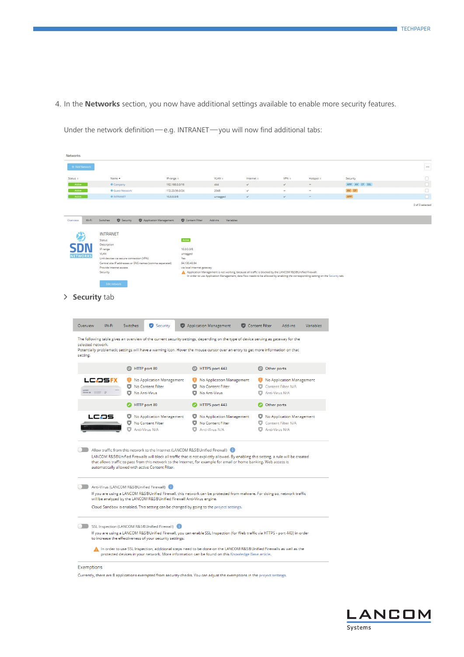4. In the **Networks** section, you now have additional settings available to enable more security features.

| + Add Network     |                                          |                                                                                                                                                                                                     |                            |                                    |                                                                                                                                  |                                             |                  |              |                 |
|-------------------|------------------------------------------|-----------------------------------------------------------------------------------------------------------------------------------------------------------------------------------------------------|----------------------------|------------------------------------|----------------------------------------------------------------------------------------------------------------------------------|---------------------------------------------|------------------|--------------|-----------------|
| $Status =$        | Name +                                   |                                                                                                                                                                                                     | IP range $\approx$         | $VLAN =$                           | Internet ¢                                                                                                                       | $VPN =$                                     | Hotspot $\doteq$ | Security     |                 |
|                   | Company                                  |                                                                                                                                                                                                     | 192.168.0.0/16             | 444                                |                                                                                                                                  |                                             |                  | APP AV CF SS |                 |
|                   | <b>Guest Network</b>                     |                                                                                                                                                                                                     | 172.23.56.0/24             | 2048                               | $\checkmark$                                                                                                                     |                                             |                  | $AV$ CF      |                 |
|                   | <b>O INTRANET</b>                        |                                                                                                                                                                                                     | 10.0.0.0/8                 | untagged                           | $\checkmark$                                                                                                                     |                                             |                  | APP          |                 |
|                   |                                          |                                                                                                                                                                                                     |                            |                                    |                                                                                                                                  |                                             |                  |              | 0 of 3 selected |
| Wi-Fi<br>Overview | Switches<br>Security                     | Application Management                                                                                                                                                                              | Content Filter             | Add-ins<br>Variables               |                                                                                                                                  |                                             |                  |              |                 |
|                   | <b>INTRANET</b>                          |                                                                                                                                                                                                     |                            |                                    |                                                                                                                                  |                                             |                  |              |                 |
|                   | Status                                   |                                                                                                                                                                                                     | Active                     |                                    |                                                                                                                                  |                                             |                  |              |                 |
|                   | Description<br>IP range                  |                                                                                                                                                                                                     | 10.0.0.0/8                 |                                    |                                                                                                                                  |                                             |                  |              |                 |
| <b>NETWORKS</b>   | <b>VLAN</b>                              |                                                                                                                                                                                                     | untagged                   |                                    |                                                                                                                                  |                                             |                  |              |                 |
|                   | Link devices via secure connection (VPN) | Central site IP addresses or DNS names (comma separated)                                                                                                                                            | Yes<br>94.130.40.94        |                                    |                                                                                                                                  |                                             |                  |              |                 |
|                   | Provide internet access<br>Security      |                                                                                                                                                                                                     | via local internet gateway |                                    | A Application Management is not working, because all traffic is blocked by the LANCOM R&5®Unified Firewall.                      |                                             |                  |              |                 |
|                   |                                          |                                                                                                                                                                                                     |                            |                                    | In order to use Application Management, data flow needs to be allowed by enabling the corresponding setting on the Security tab. |                                             |                  |              |                 |
|                   | Edit network                             |                                                                                                                                                                                                     |                            |                                    |                                                                                                                                  |                                             |                  |              |                 |
|                   |                                          |                                                                                                                                                                                                     |                            |                                    |                                                                                                                                  |                                             |                  |              |                 |
|                   | > Security tab                           |                                                                                                                                                                                                     |                            |                                    |                                                                                                                                  |                                             |                  |              |                 |
|                   |                                          |                                                                                                                                                                                                     |                            |                                    |                                                                                                                                  |                                             |                  |              |                 |
|                   |                                          |                                                                                                                                                                                                     |                            |                                    |                                                                                                                                  |                                             |                  |              |                 |
| Overview          | Wi-Fi                                    | Security<br>Switches                                                                                                                                                                                |                            | Application Management             | Content Filter                                                                                                                   | Add-ins                                     | Variables        |              |                 |
|                   |                                          |                                                                                                                                                                                                     |                            |                                    |                                                                                                                                  |                                             |                  |              |                 |
| setting.          |                                          | HTTP port 80                                                                                                                                                                                        |                            | HTTPS port 443                     | <b>8</b> Other ports                                                                                                             |                                             |                  |              |                 |
|                   | LCOSFX                                   | No Application Management<br>Θ.                                                                                                                                                                     |                            | No Application Management          | G                                                                                                                                | No Application Management                   |                  |              |                 |
|                   | $ \bullet$ $\pi\pi$ $\equiv$             | o.<br>No Content Filter<br>o.<br>No Anti-Virus                                                                                                                                                      |                            | No Content Filter<br>No Anti-Virus | o<br>o                                                                                                                           | <b>Content Filter N/A</b><br>Anti-Virus N/A |                  |              |                 |
|                   |                                          | HTTP port 80                                                                                                                                                                                        |                            | HTTPS port 443                     | O Other ports                                                                                                                    |                                             |                  |              |                 |
|                   | LCOS                                     | No Application Management<br>U.                                                                                                                                                                     |                            | No Application Management          | U                                                                                                                                | No Application Management                   |                  |              |                 |
|                   |                                          | No Content Filter                                                                                                                                                                                   |                            | No Content Filter                  | o                                                                                                                                | Content Filter N/A                          |                  |              |                 |
|                   |                                          | ο<br>Anti-Virus N/A                                                                                                                                                                                 |                            | Anti-Virus N/A                     | Anti-Virus N/A                                                                                                                   |                                             |                  |              |                 |
|                   |                                          |                                                                                                                                                                                                     |                            |                                    |                                                                                                                                  |                                             |                  |              |                 |
|                   |                                          | Allow traffic from this network to the Internet (LANCOM R&S®Unified Firewall)                                                                                                                       |                            |                                    |                                                                                                                                  |                                             |                  |              |                 |
|                   |                                          | LANCOM R&S®Unified Firewalls will block all traffic that is not explicitly allowed. By enabling this setting, a rule will be created                                                                |                            |                                    |                                                                                                                                  |                                             |                  |              |                 |
|                   |                                          | that allows traffic to pass from this network to the Internet, for example for email or home banking. Web access is<br>automatically allowed with active Content Filter.                            |                            |                                    |                                                                                                                                  |                                             |                  |              |                 |
|                   |                                          |                                                                                                                                                                                                     |                            |                                    |                                                                                                                                  |                                             |                  |              |                 |
|                   |                                          |                                                                                                                                                                                                     |                            |                                    |                                                                                                                                  |                                             |                  |              |                 |
|                   |                                          | Anti-Virus (LANCOM R&S®Unified Firewall)                                                                                                                                                            |                            |                                    |                                                                                                                                  |                                             |                  |              |                 |
|                   |                                          | If you are using a LANCOM R&S®Unified Firewall, this network can be protected from malware. For doing so, network traffic<br>will be analyzed by the LANCOM R&S®Unified Firewall Anti-Virus engine. |                            |                                    |                                                                                                                                  |                                             |                  |              |                 |
|                   |                                          | Cloud Sandbox is enabled. This setting can be changed by going to the project settings.                                                                                                             |                            |                                    |                                                                                                                                  |                                             |                  |              |                 |
|                   |                                          |                                                                                                                                                                                                     |                            |                                    |                                                                                                                                  |                                             |                  |              |                 |
|                   |                                          | SSL Inspection (LANCOM R&S®Unified Firewall)                                                                                                                                                        |                            |                                    |                                                                                                                                  |                                             |                  |              |                 |
|                   |                                          | If you are using a LANCOM R&S®Unified Firewall, you can enable SSL Inspection (for Web traffic via HTTPS - port 443) in order                                                                       |                            |                                    |                                                                                                                                  |                                             |                  |              |                 |
|                   |                                          | to increase the effectiveness of your security settings.                                                                                                                                            |                            |                                    |                                                                                                                                  |                                             |                  |              |                 |
|                   |                                          | In order to use SSL Inspection, additional steps need to be done on the LANCOM R&S®Unified Firewalls as well as the                                                                                 |                            |                                    |                                                                                                                                  |                                             |                  |              |                 |
|                   |                                          | protected devices in your network. More information can be found on this Knowledge Base article.                                                                                                    |                            |                                    |                                                                                                                                  |                                             |                  |              |                 |

Under the network definition—e.g. INTRANET—you will now find additional tabs:

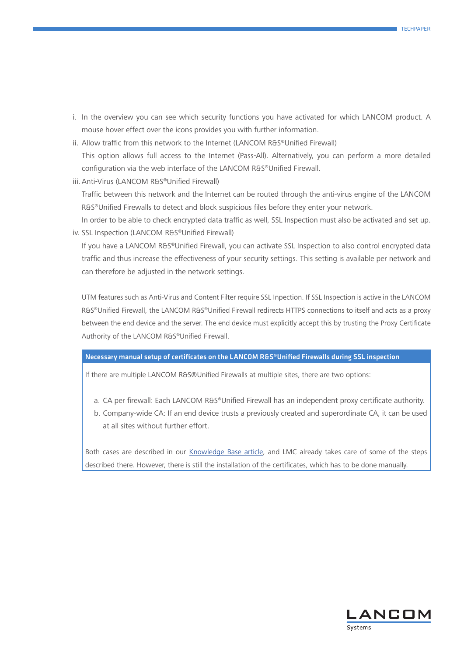- i. In the overview you can see which security functions you have activated for which LANCOM product. A mouse hover effect over the icons provides you with further information.
- ii. Allow traffic from this network to the Internet (LANCOM R&S®Unified Firewall) This option allows full access to the Internet (Pass-All). Alternatively, you can perform a more detailed configuration via the web interface of the LANCOM R&S®Unified Firewall.
- iii. Anti-Virus (LANCOM R&S®Unified Firewall)

Traffic between this network and the Internet can be routed through the anti-virus engine of the LANCOM R&S®Unified Firewalls to detect and block suspicious files before they enter your network.

In order to be able to check encrypted data traffic as well, SSL Inspection must also be activated and set up. iv. SSL Inspection (LANCOM R&S®Unified Firewall)

If you have a LANCOM R&S®Unified Firewall, you can activate SSL Inspection to also control encrypted data traffic and thus increase the effectiveness of your security settings. This setting is available per network and can therefore be adjusted in the network settings.

UTM features such as Anti-Virus and Content Filter require SSL Inpection. If SSL Inspection is active in the LANCOM R&S®Unified Firewall, the LANCOM R&S®Unified Firewall redirects HTTPS connections to itself and acts as a proxy between the end device and the server. The end device must explicitly accept this by trusting the Proxy Certificate Authority of the LANCOM R&S®Unified Firewall.

# Necessary manual setup of certificates on the LANCOM R&S®Unified Firewalls during SSL inspection

If there are multiple LANCOM R&S®Unified Firewalls at multiple sites, there are two options:

- a. CA per firewall: Each LANCOM R&S®Unified Firewall has an independent proxy certificate authority.
- b. Company-wide CA: If an end device trusts a previously created and superordinate CA, it can be used at all sites without further effort.

Both cases are described in our [Knowledge Base article,](https://www.lancom-systems.de/docs/lmc/scripting/) and LMC already takes care of some of the steps described there. However, there is still the installation of the certificates, which has to be done manually.

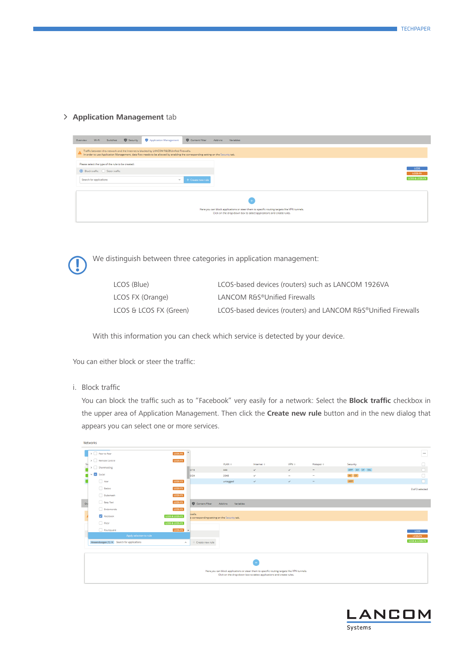# > **Application Management** tab



We distinguish between three categories in application management:<br>LCOS (Blue) LCOS-based devices (routers) such

LCOS-based devices (routers) such as LANCOM 1926VA LCOS FX (Orange) LANCOM R&S®Unified Firewalls LCOS & LCOS FX (Green) LCOS-based devices (routers) and LANCOM R&S®Unified Firewalls

With this information you can check which service is detected by your device.

You can either block or steer the traffic:

i. Block traffic

You can block the traffic such as to "Facebook" very easily for a network: Select the **Block traffic** checkbox in the upper area of Application Management. Then click the **Create new rule** button and in the new dialog that appears you can select one or more services.

|          | Networks                                  |                                     |                                                        |                             |                                                                                             |                          |                          |               |                   |
|----------|-------------------------------------------|-------------------------------------|--------------------------------------------------------|-----------------------------|---------------------------------------------------------------------------------------------|--------------------------|--------------------------|---------------|-------------------|
|          | $\triangleright$ $\Box$ Peer to Peer      | $\Delta$<br>LCOS-FX                 |                                                        |                             |                                                                                             |                          |                          |               | $\ldots$          |
| Sti      | > Remote Control                          | LCOS-FX                             |                                                        | $VLAN =$                    | Internet ÷                                                                                  | $VPN \div$               | Hotspot $\doteq$         | Security      | 0                 |
| $\equiv$ | $\rightarrow$ $\Box$ Sharehosting         |                                     | 0/16                                                   | 444                         | $\checkmark$                                                                                | $\checkmark$             | $\qquad \qquad =$        | APP AV CF SSL | $\overline{\Box}$ |
|          | Social<br>$\ddot{ }$                      |                                     | 0/24                                                   | 2048                        | $\checkmark$                                                                                | $\overline{\phantom{a}}$ | $\overline{\phantom{a}}$ | $AV$ $CF$     | $\Box$            |
|          | Azar                                      | LCOS-FX                             |                                                        | untagged                    | $\checkmark$                                                                                | $\checkmark$             | $\qquad \qquad =$        | APP           | $\Box$            |
|          | Badoo                                     | LCOS-FX                             |                                                        |                             |                                                                                             |                          |                          |               | 0 of 3 selected   |
|          | Dubsmash                                  | LCOS-FX                             |                                                        |                             |                                                                                             |                          |                          |               |                   |
| $\alpha$ | Easy Taxi                                 | LCOS-FX                             | Content Filter                                         | <b>Add-ins</b><br>Variables |                                                                                             |                          |                          |               |                   |
|          | Endomondo                                 | LCOS-FX                             |                                                        |                             |                                                                                             |                          |                          |               |                   |
|          | $\triangledown$ Facebook                  | LCOS & LCOS-FX                      | walls.<br>e corresponding setting on the Security tab. |                             |                                                                                             |                          |                          |               |                   |
|          | $\Box$ Flickr                             | LCOS & LCOS-FX                      |                                                        |                             |                                                                                             |                          |                          |               |                   |
|          | Foursquare                                | LCOS-FX<br>$\overline{\phantom{a}}$ |                                                        |                             |                                                                                             |                          |                          |               | LCOS              |
|          | Apply selection to rule                   |                                     |                                                        |                             |                                                                                             |                          |                          |               | LCOS-FX           |
|          | Anwendungen (1) × Search for applications | $\wedge$                            | $+$ Create new rule                                    |                             |                                                                                             |                          |                          |               | LCOS & LCOS-FX    |
|          |                                           |                                     |                                                        |                             |                                                                                             |                          |                          |               |                   |
|          |                                           |                                     |                                                        |                             |                                                                                             |                          |                          |               |                   |
|          |                                           |                                     |                                                        |                             |                                                                                             |                          |                          |               |                   |
|          |                                           |                                     |                                                        |                             | Here you can block applications or steer them to specific routing targets like VPN tunnels. |                          |                          |               |                   |
|          |                                           |                                     |                                                        |                             | Click on the drop-down box to select applications and create rules.                         |                          |                          |               |                   |

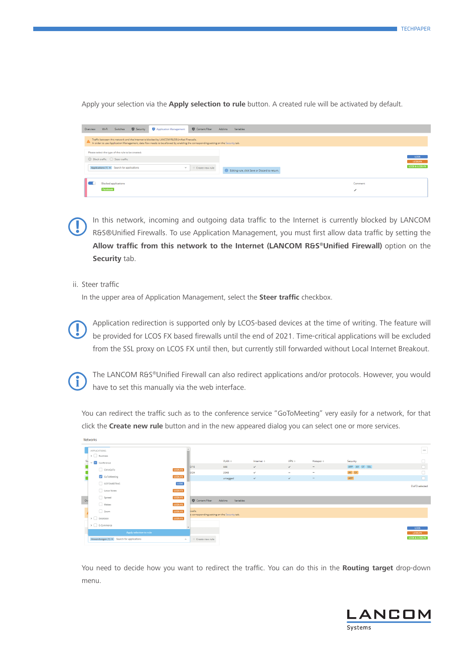Apply your selection via the **Apply selection to rule** button. A created rule will be activated by default.

| Overview | Wi-Fi    | Switches                                                                                                                           | Security | Application Management                                                                                                                                                                                                        | Content Filter      | Add-ins | Variables                                      |  |         |                                                 |
|----------|----------|------------------------------------------------------------------------------------------------------------------------------------|----------|-------------------------------------------------------------------------------------------------------------------------------------------------------------------------------------------------------------------------------|---------------------|---------|------------------------------------------------|--|---------|-------------------------------------------------|
|          |          |                                                                                                                                    |          | Traffic between this network and the Internet is blocked by LANCOM R&S®Unified Firewalls.<br>In order to use Application Management, data flow needs to be allowed by enabling the corresponding setting on the Security tab. |                     |         |                                                |  |         |                                                 |
|          |          | Please select the type of the rule to be created:<br>◎ Block traffic ● Steer traffic<br>Applications (1) × Search for applications |          | $\checkmark$                                                                                                                                                                                                                  | $+$ Create new rule |         | Editing rule, click Save or Discard to return. |  |         | <b>LCOS</b><br><b>LCOS-FX</b><br>LCOS & LCOS-FX |
|          | Facebook | <b>Blocked applications</b>                                                                                                        |          |                                                                                                                                                                                                                               |                     |         |                                                |  | Comment |                                                 |

In this network, incoming and outgoing data traffic to the Internet is currently blocked by LANCOM<br>R&S®Unified Firewalls. To use Application Management, you must first allow data traffic by setting the R&S®Unified Firewalls. To use Application Management, you must first allow data traffic by setting the **Allow traffic from this network to the Internet (LANCOM R&S®Unified Firewall)** option on the **Security** tab.

ii. Steer traffic

In the upper area of Application Management, select the **Steer traffic** checkbox.

**Solution and Solution redirection is supported only by LCOS-based devices at the time of writing. The feature will<br>be provided for LCOS FX based firewalls until the end of 2021. Time-critical applications will be excluded** be provided for LCOS FX based firewalls until the end of 2021. Time-critical applications will be excluded from the SSL proxy on LCOS FX until then, but currently still forwarded without Local Internet Breakout.



**Networks** 

The LANCOM R&S®Unified Firewall can also redirect applications and/or protocols. However, you would have to set this manually via the web interface.

You can redirect the traffic such as to the conference service "GoToMeeting" very easily for a network, for that click the **Create new rule** button and in the new appeared dialog you can select one or more services.

|          | APPLICATIONS:<br>$\rightarrow$ $\Box$ Business                       |         |                                                        |                      |                              |                                          |                                    |                  | $\cdots$                  |
|----------|----------------------------------------------------------------------|---------|--------------------------------------------------------|----------------------|------------------------------|------------------------------------------|------------------------------------|------------------|---------------------------|
| Su       | $\vee$ $\Box$ Conference                                             |         |                                                        | $VLAN =$             | Internet $\doteq$            | $VPN =$                                  | Hotspot $\doteq$                   | Security         |                           |
|          | CitrixGoTo                                                           | LCOS-FX | 0/16                                                   | 444                  | $\checkmark$                 | $\checkmark$                             | $\overline{\phantom{a}}$           | APP AV CF SSL    | $\Box$                    |
|          | GoToMeeting                                                          | LCOS-FX | 0/24                                                   | 2048<br>untagged     | $\checkmark$<br>$\checkmark$ | $\overline{\phantom{a}}$<br>$\checkmark$ | $\overline{\phantom{a}}$<br>$\sim$ | $AV$ $CF$<br>APP | $\Box$                    |
|          | GOTOMEETING                                                          | LCOS    |                                                        |                      |                              |                                          |                                    |                  | 0 of 3 selected           |
|          | Lotus Notes                                                          | LCOS-FX |                                                        |                      |                              |                                          |                                    |                  |                           |
| $\alpha$ | Spreed                                                               | LCOS-FX | Content Filter                                         | Add-ins<br>Variables |                              |                                          |                                    |                  |                           |
|          | $\Box$ Webex                                                         | LCOS-FX |                                                        |                      |                              |                                          |                                    |                  |                           |
|          | $\Box$ Zoom                                                          | LCOS-FX | walls.<br>e corresponding setting on the Security tab. |                      |                              |                                          |                                    |                  |                           |
|          | $\rightarrow$ $\Box$ Database                                        | LCOS-FX |                                                        |                      |                              |                                          |                                    |                  |                           |
|          | $\triangleright$ $\Box$ E-Commerce                                   |         |                                                        |                      |                              |                                          |                                    |                  | <b>LCOS</b>               |
|          | Apply selection to rule<br>Anwendungen (1) × Search for applications | $\sim$  | $+$ Create new rule                                    |                      |                              |                                          |                                    |                  | LCOS-FX<br>LCOS & LCOS-FX |
|          |                                                                      |         |                                                        |                      |                              |                                          |                                    |                  |                           |

You need to decide how you want to redirect the traffic. You can do this in the **Routing target** drop-down menu.

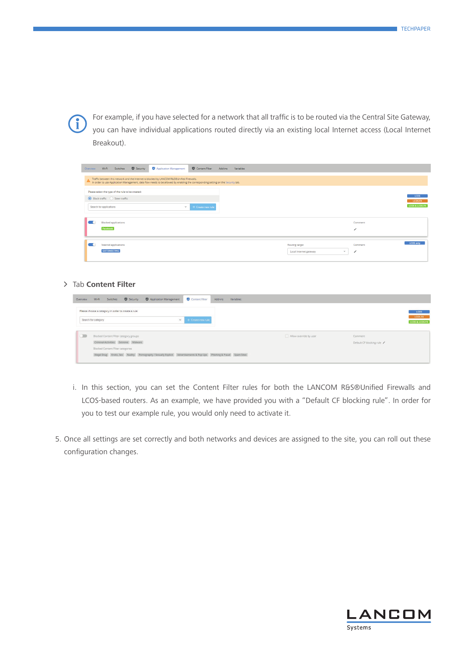

For example, if you have selected for a network that all traffic is to be routed via the Central Site Gateway,<br>you can have individual applications routed directly via an existing local Internet access (Local Internet you can have individual applications routed directly via an existing local Internet access (Local Internet Breakout).

| Wi-Fi Switches C Security<br>Overview                                                                       | Application Management                                                                                                                                                                                                        | Content Filter Add-ins | Variables |                                                          |                                     |                                   |
|-------------------------------------------------------------------------------------------------------------|-------------------------------------------------------------------------------------------------------------------------------------------------------------------------------------------------------------------------------|------------------------|-----------|----------------------------------------------------------|-------------------------------------|-----------------------------------|
|                                                                                                             | Traffic between this network and the Internet is blocked by LANCOM R&S®Unified Firewalls.<br>In order to use Application Management, data flow needs to be allowed by enabling the corresponding setting on the Security tab. |                        |           |                                                          |                                     |                                   |
| Please select the type of the rule to be created:<br>Block traffic Steer traffic<br>Search for applications | $\checkmark$                                                                                                                                                                                                                  | + Create new rule      |           |                                                          |                                     | LCOS<br>LCOS-FX<br>LCOS & LCOS-FX |
| <b>Blocked applications</b><br>Facebook                                                                     |                                                                                                                                                                                                                               |                        |           |                                                          | Comment<br>$\overline{\phantom{a}}$ |                                   |
| Steered applications<br><b>GOTOMEETING</b>                                                                  |                                                                                                                                                                                                                               |                        |           | Routing target<br>Local internet gateway<br>$\checkmark$ | Comment                             | <b>LCOS only</b>                  |

# A Tab **Content Filter**

| Overview | Application Management<br>Security<br>$Wi-Fi$<br>Switches                                                            | Content Filter                    | Add-ins<br>Variables |                        |                                     |                                   |
|----------|----------------------------------------------------------------------------------------------------------------------|-----------------------------------|----------------------|------------------------|-------------------------------------|-----------------------------------|
|          | Please choose a category in order to create a rule<br>Search for category                                            | $\checkmark$<br>+ Create new rule |                      |                        |                                     | LCOS<br>LCOS-FX<br>LCOS & LCOS-FX |
|          | Blocked Content Filter category groups<br>Criminal Activities Extreme Malware<br>Blocked Content Filter categories   |                                   |                      | Allow override by user | Comment<br>Default CF blocking rule |                                   |
|          | Illegal Drug Erotic, Sex Nudity Pornography / Sexually Explicit Advertisements & Pop-Ups Phishing & Fraud Spam Sites |                                   |                      |                        |                                     |                                   |

- i. In this section, you can set the Content Filter rules for both the LANCOM R&S®Unified Firewalls and LCOS-based routers. As an example, we have provided you with a "Default CF blocking rule". In order for you to test our example rule, you would only need to activate it.
- 5. Once all settings are set correctly and both networks and devices are assigned to the site, you can roll out these configuration changes.

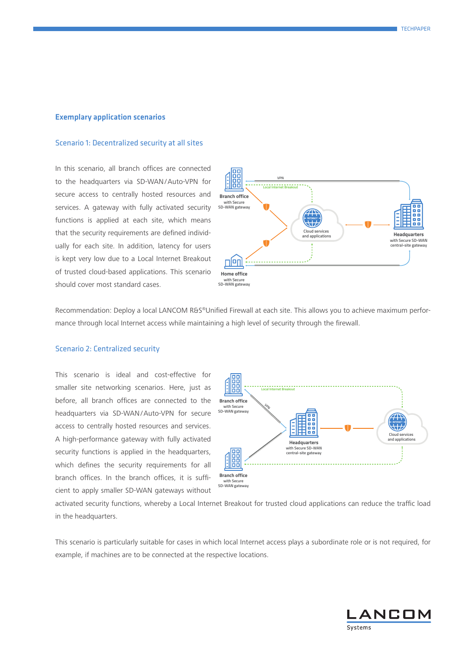### Exemplary application scenarios

#### Scenario 1: Decentralized security at all sites

In this scenario, all branch offices are connected to the headquarters via SD-WAN/Auto-VPN for secure access to centrally hosted resources and services. A gateway with fully activated security functions is applied at each site, which means that the security requirements are defined individually for each site. In addition, latency for users is kept very low due to a Local Internet Breakout of trusted cloud-based applications. This scenario should cover most standard cases.



Recommendation: Deploy a local LANCOM R&S®Unified Firewall at each site. This allows you to achieve maximum performance through local Internet access while maintaining a high level of security through the firewall.

## Scenario 2: Centralized security

This scenario is ideal and cost-effective for smaller site networking scenarios. Here, just as before, all branch offices are connected to the headquarters via SD-WAN/Auto-VPN for secure access to centrally hosted resources and services. A high-performance gateway with fully activated security functions is applied in the headquarters, which defines the security requirements for all branch offices. In the branch offices, it is sufficient to apply smaller SD-WAN gateways without



activated security functions, whereby a Local Internet Breakout for trusted cloud applications can reduce the traffic load in the headquarters.

This scenario is particularly suitable for cases in which local Internet access plays a subordinate role or is not required, for example, if machines are to be connected at the respective locations.